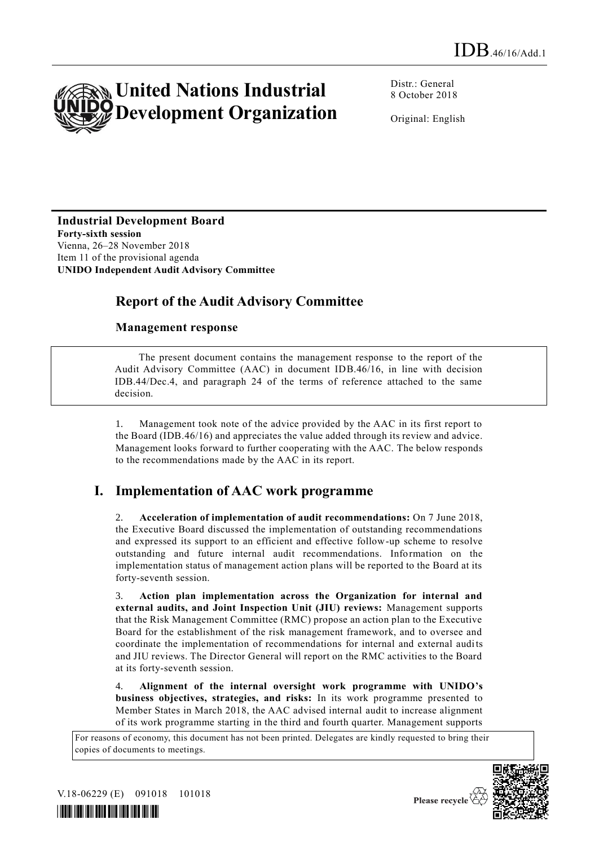

Distr.: General 8 October 2018

Original: English

#### **Industrial Development Board Forty-sixth session**

Vienna, 26–28 November 2018 Item 11 of the provisional agenda **UNIDO Independent Audit Advisory Committee** 

# **Report of the Audit Advisory Committee**

### **Management response**

The present document contains the management response to the report of the Audit Advisory Committee (AAC) in document IDB.46/16, in line with decision IDB.44/Dec.4, and paragraph 24 of the terms of reference attached to the same decision.

1. Management took note of the advice provided by the AAC in its first report to the Board (IDB.46/16) and appreciates the value added through its review and advice. Management looks forward to further cooperating with the AAC. The below responds to the recommendations made by the AAC in its report.

## **I. Implementation of AAC work programme**

2. **Acceleration of implementation of audit recommendations:** On 7 June 2018, the Executive Board discussed the implementation of outstanding recommendations and expressed its support to an efficient and effective follow-up scheme to resolve outstanding and future internal audit recommendations. Information on the implementation status of management action plans will be reported to the Board at its forty-seventh session.

3. **Action plan implementation across the Organization for internal and external audits, and Joint Inspection Unit (JIU) reviews:** Management supports that the Risk Management Committee (RMC) propose an action plan to the Executive Board for the establishment of the risk management framework, and to oversee and coordinate the implementation of recommendations for internal and external audits and JIU reviews. The Director General will report on the RMC activities to the Board at its forty-seventh session.

4. **Alignment of the internal oversight work programme with UNIDO's business objectives, strategies, and risks:** In its work programme presented to Member States in March 2018, the AAC advised internal audit to increase alignment of its work programme starting in the third and fourth quarter. Management supports

For reasons of economy, this document has not been printed. Delegates are kindly requested to bring their copies of documents to meetings.



V.18-06229 (E) 091018 101018